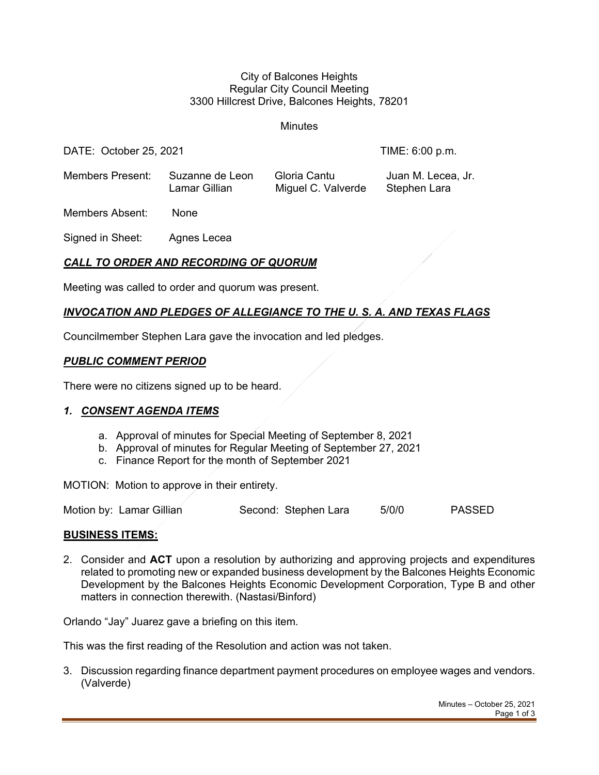#### City of Balcones Heights Regular City Council Meeting 3300 Hillcrest Drive, Balcones Heights, 78201

Minutes

DATE: October 25, 2021 TIME: 6:00 p.m.

Members Present: Suzanne de Leon Gloria Cantu Juan M. Lecea, Jr. Lamar Gillian Miguel C. Valverde Stephen Lara

Members Absent: None

Signed in Sheet: Agnes Lecea

## *CALL TO ORDER AND RECORDING OF QUORUM*

Meeting was called to order and quorum was present.

## *INVOCATION AND PLEDGES OF ALLEGIANCE TO THE U. S. A. AND TEXAS FLAGS*

Councilmember Stephen Lara gave the invocation and led pledges.

#### *PUBLIC COMMENT PERIOD*

There were no citizens signed up to be heard.

### *1. CONSENT AGENDA ITEMS*

- a. Approval of minutes for Special Meeting of September 8, 2021
- b. Approval of minutes for Regular Meeting of September 27, 2021
- c. Finance Report for the month of September 2021

MOTION: Motion to approve in their entirety.

| Motion by: Lamar Gillian | Second: Stephen Lara | 5/0/0 | <b>PASSED</b> |
|--------------------------|----------------------|-------|---------------|
|--------------------------|----------------------|-------|---------------|

### **BUSINESS ITEMS:**

2. Consider and **ACT** upon a resolution by authorizing and approving projects and expenditures related to promoting new or expanded business development by the Balcones Heights Economic Development by the Balcones Heights Economic Development Corporation, Type B and other matters in connection therewith. (Nastasi/Binford)

Orlando "Jay" Juarez gave a briefing on this item.

This was the first reading of the Resolution and action was not taken.

3. Discussion regarding finance department payment procedures on employee wages and vendors. (Valverde)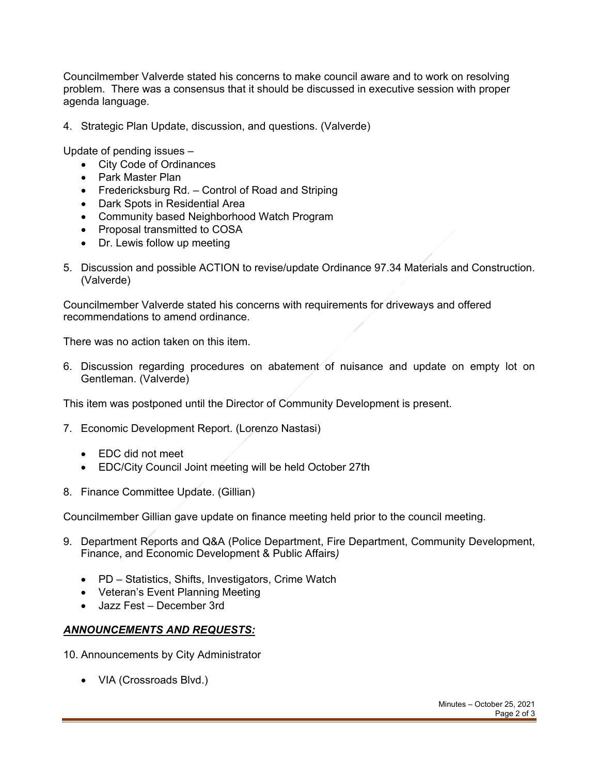Councilmember Valverde stated his concerns to make council aware and to work on resolving problem. There was a consensus that it should be discussed in executive session with proper agenda language.

4. Strategic Plan Update, discussion, and questions. (Valverde)

Update of pending issues –

- City Code of Ordinances
- Park Master Plan
- Fredericksburg Rd. Control of Road and Striping
- Dark Spots in Residential Area
- Community based Neighborhood Watch Program
- Proposal transmitted to COSA
- Dr. Lewis follow up meeting
- 5. Discussion and possible ACTION to revise/update Ordinance 97.34 Materials and Construction. (Valverde)

Councilmember Valverde stated his concerns with requirements for driveways and offered recommendations to amend ordinance.

There was no action taken on this item.

6. Discussion regarding procedures on abatement of nuisance and update on empty lot on Gentleman. (Valverde)

This item was postponed until the Director of Community Development is present.

- 7. Economic Development Report. (Lorenzo Nastasi)
	- EDC did not meet
	- EDC/City Council Joint meeting will be held October 27th
- 8. Finance Committee Update. (Gillian)

Councilmember Gillian gave update on finance meeting held prior to the council meeting.

- 9. Department Reports and Q&A (Police Department, Fire Department, Community Development, Finance, and Economic Development & Public Affairs*)*
	- PD Statistics, Shifts, Investigators, Crime Watch
	- Veteran's Event Planning Meeting
	- Jazz Fest December 3rd

### *ANNOUNCEMENTS AND REQUESTS:*

10. Announcements by City Administrator

• VIA (Crossroads Blvd.)